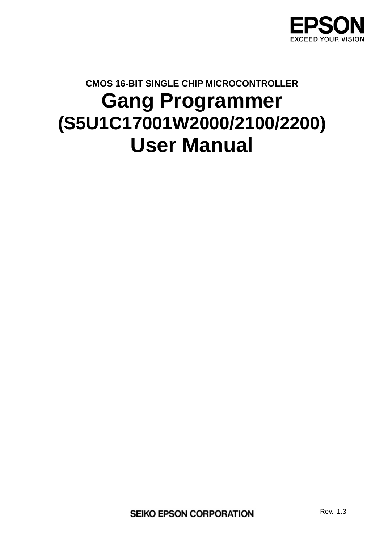

# **CMOS 16-BIT SINGLE CHIP MICROCONTROLLER Gang Programmer (S5U1C17001W2000/2100/2200) User Manual**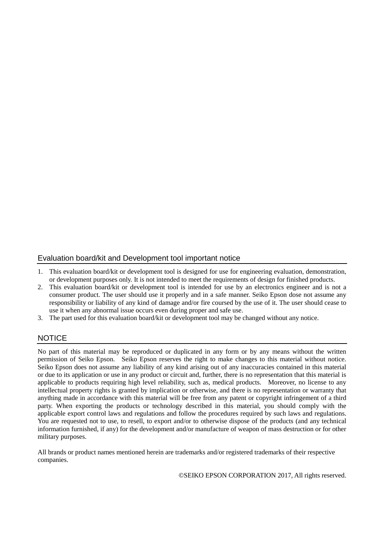#### Evaluation board/kit and Development tool important notice

- 1. This evaluation board/kit or development tool is designed for use for engineering evaluation, demonstration, or development purposes only. It is not intended to meet the requirements of design for finished products.
- 2. This evaluation board/kit or development tool is intended for use by an electronics engineer and is not a consumer product. The user should use it properly and in a safe manner. Seiko Epson dose not assume any responsibility or liability of any kind of damage and/or fire coursed by the use of it. The user should cease to use it when any abnormal issue occurs even during proper and safe use.
- 3. The part used for this evaluation board/kit or development tool may be changed without any notice.

#### **NOTICE**

No part of this material may be reproduced or duplicated in any form or by any means without the written permission of Seiko Epson. Seiko Epson reserves the right to make changes to this material without notice. Seiko Epson does not assume any liability of any kind arising out of any inaccuracies contained in this material or due to its application or use in any product or circuit and, further, there is no representation that this material is applicable to products requiring high level reliability, such as, medical products. Moreover, no license to any intellectual property rights is granted by implication or otherwise, and there is no representation or warranty that anything made in accordance with this material will be free from any patent or copyright infringement of a third party. When exporting the products or technology described in this material, you should comply with the applicable export control laws and regulations and follow the procedures required by such laws and regulations. You are requested not to use, to resell, to export and/or to otherwise dispose of the products (and any technical information furnished, if any) for the development and/or manufacture of weapon of mass destruction or for other military purposes.

All brands or product names mentioned herein are trademarks and/or registered trademarks of their respective companies.

©SEIKO EPSON CORPORATION 2017, All rights reserved.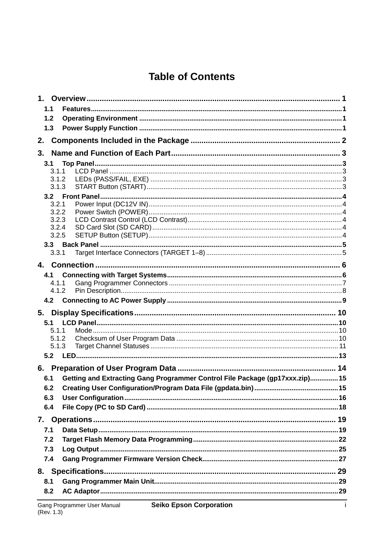# **Table of Contents**

| $1_{-}$    |                |                                                                              |  |
|------------|----------------|------------------------------------------------------------------------------|--|
| 1.1        |                |                                                                              |  |
|            | 1.2            |                                                                              |  |
|            | 1.3            |                                                                              |  |
| 2.         |                |                                                                              |  |
| 3.         |                |                                                                              |  |
|            | 3.1            |                                                                              |  |
|            | 311            |                                                                              |  |
|            | 3.1.2          |                                                                              |  |
|            | 3.1.3          |                                                                              |  |
|            | 3.2.1          |                                                                              |  |
|            | 3.2.2          |                                                                              |  |
|            | 3.2.3          |                                                                              |  |
|            | 3.2.4          |                                                                              |  |
|            | 3.2.5          |                                                                              |  |
|            |                |                                                                              |  |
|            | 3.3.1          |                                                                              |  |
|            |                |                                                                              |  |
|            | 4.1            |                                                                              |  |
|            | 4.1.1<br>4.1.2 |                                                                              |  |
|            |                |                                                                              |  |
|            |                |                                                                              |  |
|            |                |                                                                              |  |
|            |                |                                                                              |  |
|            | 5.1            |                                                                              |  |
|            | 5.1.1          |                                                                              |  |
|            | 5.1.2          |                                                                              |  |
|            | 5.1.3          |                                                                              |  |
|            |                |                                                                              |  |
|            |                |                                                                              |  |
|            | 6.1            | Getting and Extracting Gang Programmer Control File Package (gp17xxx.zip) 15 |  |
| 6.2<br>6.3 |                |                                                                              |  |
| 6.4        |                |                                                                              |  |
|            |                |                                                                              |  |
| 7.1        |                |                                                                              |  |
| 7.2        |                |                                                                              |  |
|            |                |                                                                              |  |
|            | 7.3<br>7.4     |                                                                              |  |
|            |                |                                                                              |  |
|            |                |                                                                              |  |
| 8.1        | 8.2            |                                                                              |  |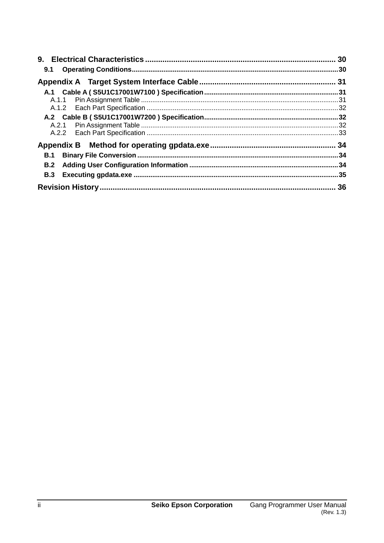| 9.1        |  |
|------------|--|
|            |  |
|            |  |
|            |  |
|            |  |
|            |  |
|            |  |
|            |  |
|            |  |
| <b>B.1</b> |  |
| <b>B.2</b> |  |
| <b>B.3</b> |  |
|            |  |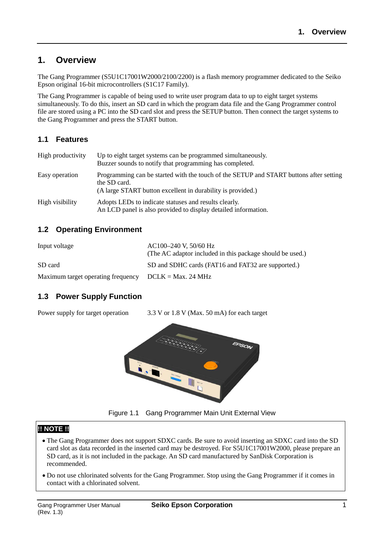## **1. Overview**

The Gang Programmer (S5U1C17001W2000/2100/2200) is a flash memory programmer dedicated to the Seiko Epson original 16-bit microcontrollers (S1C17 Family).

The Gang Programmer is capable of being used to write user program data to up to eight target systems simultaneously. To do this, insert an SD card in which the program data file and the Gang Programmer control file are stored using a PC into the SD card slot and press the SETUP button. Then connect the target systems to the Gang Programmer and press the START button.

## **1.1 Features**

| High productivity | Up to eight target systems can be programmed simultaneously.<br>Buzzer sounds to notify that programming has completed.                                               |
|-------------------|-----------------------------------------------------------------------------------------------------------------------------------------------------------------------|
| Easy operation    | Programming can be started with the touch of the SETUP and START buttons after setting<br>the SD card.<br>(A large START button excellent in durability is provided.) |
| High visibility   | Adopts LEDs to indicate statuses and results clearly.<br>An LCD panel is also provided to display detailed information.                                               |

## **1.2 Operating Environment**

| Input voltage                                           | AC100-240 V, 50/60 Hz<br>(The AC adaptor included in this package should be used.) |
|---------------------------------------------------------|------------------------------------------------------------------------------------|
| SD card                                                 | SD and SDHC cards (FAT16 and FAT32 are supported.)                                 |
| Maximum target operating frequency $DCLK = Max. 24 MHz$ |                                                                                    |

## **1.3 Power Supply Function**

Power supply for target operation 3.3 V or 1.8 V (Max. 50 mA) for each target



Figure 1.1 Gang Programmer Main Unit External View

## **!! NOTE !!**

- The Gang Programmer does not support SDXC cards. Be sure to avoid inserting an SDXC card into the SD card slot as data recorded in the inserted card may be destroyed. For S5U1C17001W2000, please prepare an SD card, as it is not included in the package. An SD card manufactured by SanDisk Corporation is recommended.
- Do not use chlorinated solvents for the Gang Programmer. Stop using the Gang Programmer if it comes in contact with a chlorinated solvent.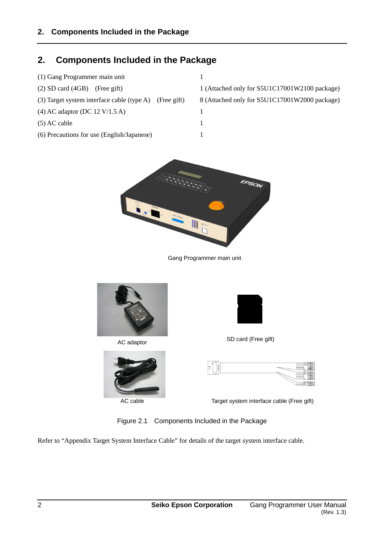## **2. Components Included in the Package**

(1) Gang Programmer main unit 1 (2) SD card (4GB) (Free gift) 1 (Attached only for S5U1C17001W2100 package) (3) Target system interface cable (type A) (Free gift) 8 (Attached only for S5U1C17001W2000 package) (4) AC adaptor (DC 12 V/1.5 A) 1  $(5)$  AC cable 1 (6) Precautions for use (English/Japanese) 1



Gang Programmer main unit



AC adaptor



AC cable



SD card (Free gift)



Target system interface cable (Free gift)

Figure 2.1 Components Included in the Package

Refer to "Appendix Target System Interface Cable" for details of the target system interface cable.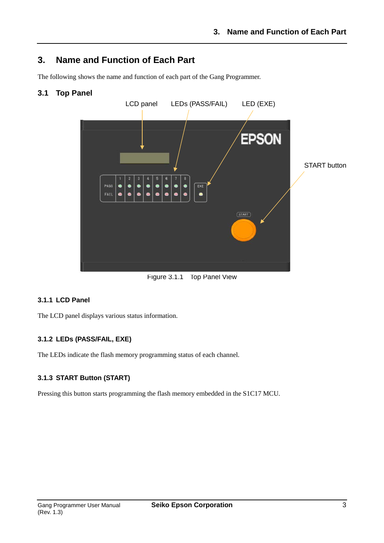## **3. Name and Function of Each Part**

The following shows the name and function of each part of the Gang Programmer.

## **3.1 Top Panel**



Figure 3.1.1 Top Panel View

### **3.1.1 LCD Panel**

The LCD panel displays various status information.

### **3.1.2 LEDs (PASS/FAIL, EXE)**

The LEDs indicate the flash memory programming status of each channel.

#### **3.1.3 START Button (START)**

Pressing this button starts programming the flash memory embedded in the S1C17 MCU.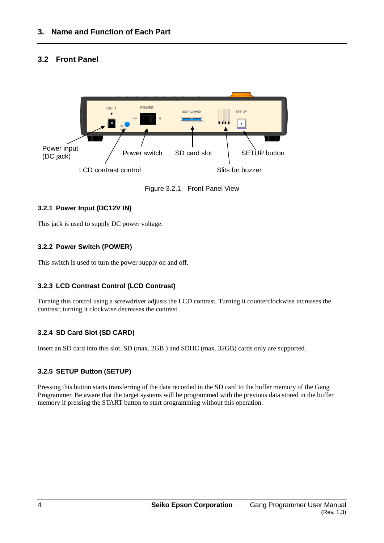## **3.2 Front Panel**



Figure 3.2.1 Front Panel View

#### **3.2.1 Power Input (DC12V IN)**

This jack is used to supply DC power voltage.

#### **3.2.2 Power Switch (POWER)**

This switch is used to turn the power supply on and off.

### **3.2.3 LCD Contrast Control (LCD Contrast)**

Turning this control using a screwdriver adjusts the LCD contrast. Turning it counterclockwise increases the contrast; turning it clockwise decreases the contrast.

### **3.2.4 SD Card Slot (SD CARD)**

Insert an SD card into this slot. SD (max. 2GB ) and SDHC (max. 32GB) cards only are supported.

### **3.2.5 SETUP Button (SETUP)**

Pressing this button starts transferring of the data recorded in the SD card to the buffer memory of the Gang Programmer. Be aware that the target systems will be programmed with the previous data stored in the buffer memory if pressing the START button to start programming without this operation.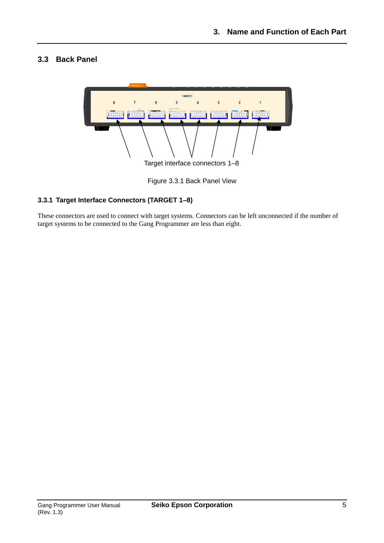## **3.3 Back Panel**



Figure 3.3.1 Back Panel View

## **3.3.1 Target Interface Connectors (TARGET 1–8)**

These connectors are used to connect with target systems. Connectors can be left unconnected if the number of target systems to be connected to the Gang Programmer are less than eight.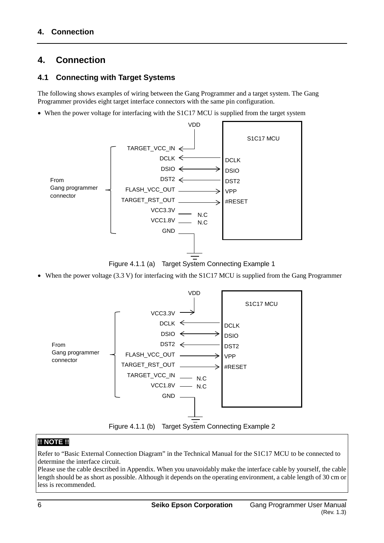# **4. Connection**

## **4.1 Connecting with Target Systems**

The following shows examples of wiring between the Gang Programmer and a target system. The Gang Programmer provides eight target interface connectors with the same pin configuration.

• When the power voltage for interfacing with the S1C17 MCU is supplied from the target system



Figure 4.1.1 (a) Target System Connecting Example 1

• When the power voltage (3.3 V) for interfacing with the S1C17 MCU is supplied from the Gang Programmer



## **!! NOTE !!**

Refer to "Basic External Connection Diagram" in the Technical Manual for the S1C17 MCU to be connected to determine the interface circuit.

Please use the cable described in Appendix. When you unavoidably make the interface cable by yourself, the cable length should be as short as possible. Although it depends on the operating environment, a cable length of 30 cm or less is recommended.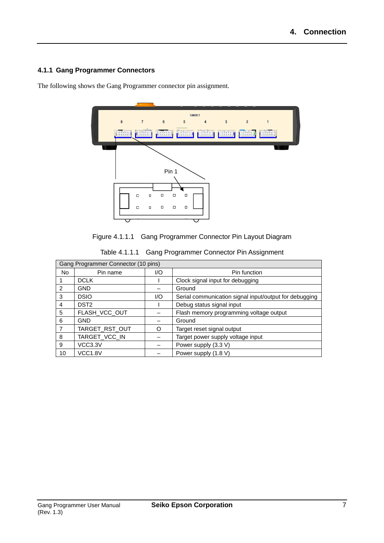## **4.1.1 Gang Programmer Connectors**

The following shows the Gang Programmer connector pin assignment.



| Figure 4.1.1.1 Gang Programmer Connector Pin Layout Diagram |  |
|-------------------------------------------------------------|--|
|                                                             |  |

|  | Table 4.1.1.1 Gang Programmer Connector Pin Assignment |  |  |
|--|--------------------------------------------------------|--|--|
|--|--------------------------------------------------------|--|--|

| Gang Programmer Connector (10 pins) |                  |     |                                                        |  |
|-------------------------------------|------------------|-----|--------------------------------------------------------|--|
| No                                  | Pin name         | I/O | Pin function                                           |  |
|                                     | <b>DCLK</b>      |     | Clock signal input for debugging                       |  |
| $\mathcal{P}$                       | GND              |     | Ground                                                 |  |
| 3                                   | <b>DSIO</b>      | 1/O | Serial communication signal input/output for debugging |  |
| 4                                   | DST <sub>2</sub> |     | Debug status signal input                              |  |
| 5                                   | FLASH_VCC_OUT    |     | Flash memory programming voltage output                |  |
| 6                                   | GND              |     | Ground                                                 |  |
|                                     | TARGET_RST_OUT   | ∩   | Target reset signal output                             |  |
| 8                                   | TARGET_VCC_IN    |     | Target power supply voltage input                      |  |
| 9                                   | VCC3.3V          |     | Power supply (3.3 V)                                   |  |
| 10                                  | <b>VCC1.8V</b>   |     | Power supply (1.8 V)                                   |  |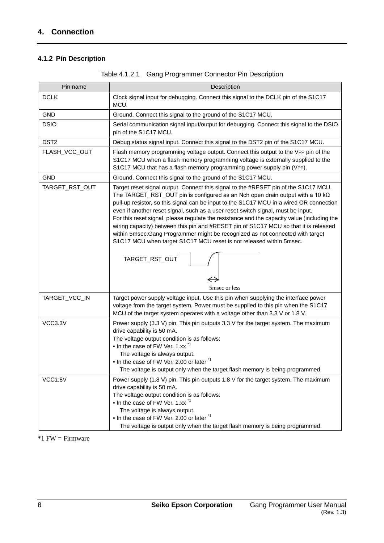## **4.1.2 Pin Description**

| Pin name         | Description                                                                                                                                                                                                                                                                                                                                                                                                                                                                                                                                                                                                                                                                                                                                   |
|------------------|-----------------------------------------------------------------------------------------------------------------------------------------------------------------------------------------------------------------------------------------------------------------------------------------------------------------------------------------------------------------------------------------------------------------------------------------------------------------------------------------------------------------------------------------------------------------------------------------------------------------------------------------------------------------------------------------------------------------------------------------------|
| <b>DCLK</b>      | Clock signal input for debugging. Connect this signal to the DCLK pin of the S1C17<br>MCU.                                                                                                                                                                                                                                                                                                                                                                                                                                                                                                                                                                                                                                                    |
| <b>GND</b>       | Ground. Connect this signal to the ground of the S1C17 MCU.                                                                                                                                                                                                                                                                                                                                                                                                                                                                                                                                                                                                                                                                                   |
| <b>DSIO</b>      | Serial communication signal input/output for debugging. Connect this signal to the DSIO<br>pin of the S1C17 MCU.                                                                                                                                                                                                                                                                                                                                                                                                                                                                                                                                                                                                                              |
| DST <sub>2</sub> | Debug status signal input. Connect this signal to the DST2 pin of the S1C17 MCU.                                                                                                                                                                                                                                                                                                                                                                                                                                                                                                                                                                                                                                                              |
| FLASH_VCC_OUT    | Flash memory programming voltage output. Connect this output to the VPP pin of the<br>S1C17 MCU when a flash memory programming voltage is externally supplied to the<br>S1C17 MCU that has a flash memory programming power supply pin (VPP).                                                                                                                                                                                                                                                                                                                                                                                                                                                                                                |
| <b>GND</b>       | Ground. Connect this signal to the ground of the S1C17 MCU.                                                                                                                                                                                                                                                                                                                                                                                                                                                                                                                                                                                                                                                                                   |
| TARGET_RST_OUT   | Target reset signal output. Connect this signal to the #RESET pin of the S1C17 MCU.<br>The TARGET_RST_OUT pin is configured as an Nch open drain output with a 10 k $\Omega$<br>pull-up resistor, so this signal can be input to the S1C17 MCU in a wired OR connection<br>even if another reset signal, such as a user reset switch signal, must be input.<br>For this reset signal, please regulate the resistance and the capacity value (including the<br>wiring capacity) between this pin and #RESET pin of S1C17 MCU so that it is released<br>within 5msec.Gang Programmer might be recognized as not connected with target<br>S1C17 MCU when target S1C17 MCU reset is not released within 5msec.<br>TARGET_RST_OUT<br>5msec or less |
| TARGET_VCC_IN    | Target power supply voltage input. Use this pin when supplying the interface power<br>voltage from the target system. Power must be supplied to this pin when the S1C17<br>MCU of the target system operates with a voltage other than 3.3 V or 1.8 V.                                                                                                                                                                                                                                                                                                                                                                                                                                                                                        |
| VCC3.3V          | Power supply (3.3 V) pin. This pin outputs 3.3 V for the target system. The maximum<br>drive capability is 50 mA.<br>The voltage output condition is as follows:<br>• In the case of FW Ver. 1.xx <sup>*1</sup><br>The voltage is always output.<br>• In the case of FW Ver. 2.00 or later *1<br>The voltage is output only when the target flash memory is being programmed.                                                                                                                                                                                                                                                                                                                                                                 |
| <b>VCC1.8V</b>   | Power supply (1.8 V) pin. This pin outputs 1.8 V for the target system. The maximum<br>drive capability is 50 mA.<br>The voltage output condition is as follows:<br>• In the case of FW Ver. 1.xx <sup>*1</sup><br>The voltage is always output.<br>• In the case of FW Ver. 2.00 or later <sup>*1</sup><br>The voltage is output only when the target flash memory is being programmed.                                                                                                                                                                                                                                                                                                                                                      |

| Table 4.1.2.1 Gang Programmer Connector Pin Description |  |
|---------------------------------------------------------|--|
|                                                         |  |

\*1 FW = Firmware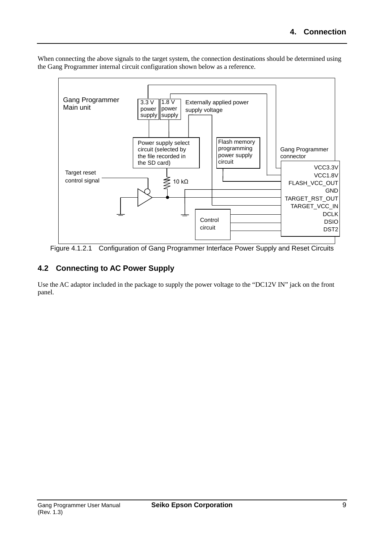When connecting the above signals to the target system, the connection destinations should be determined using the Gang Programmer internal circuit configuration shown below as a reference.



Figure 4.1.2.1 Configuration of Gang Programmer Interface Power Supply and Reset Circuits

## **4.2 Connecting to AC Power Supply**

Use the AC adaptor included in the package to supply the power voltage to the "DC12V IN" jack on the front panel.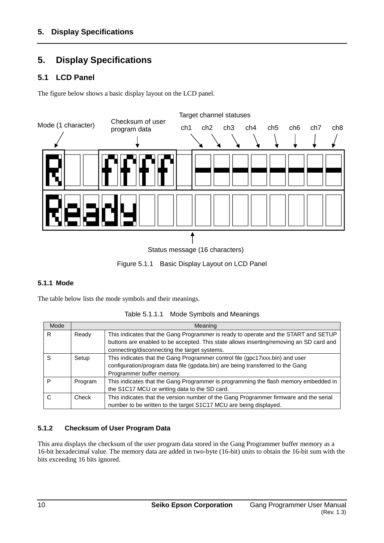# **5. Display Specifications**

## **5.1 LCD Panel**

The figure below shows a basic display layout on the LCD panel.



Figure 5.1.1 Basic Display Layout on LCD Panel

### **5.1.1 Mode**

The table below lists the mode symbols and their meanings.

| Mode |         | Meaning                                                                                                                                                                                     |
|------|---------|---------------------------------------------------------------------------------------------------------------------------------------------------------------------------------------------|
| R.   | Ready   | This indicates that the Gang Programmer is ready to operate and the START and SETUP<br>buttons are enabled to be accepted. This state allows inserting/removing an SD card and              |
|      |         | connecting/disconnecting the target systems.                                                                                                                                                |
| S    | Setup   | This indicates that the Gang Programmer control file (gpc17xxx.bin) and user<br>configuration/program data file (gpdata.bin) are being transferred to the Gang<br>Programmer buffer memory. |
| P    | Program | This indicates that the Gang Programmer is programming the flash memory embedded in<br>the S1C17 MCU or writing data to the SD card.                                                        |
| C    | Check   | This indicates that the version number of the Gang Programmer firmware and the serial<br>number to be written to the target S1C17 MCU are being displayed.                                  |

|  | Table 5.1.1.1 Mode Symbols and Meanings |  |
|--|-----------------------------------------|--|
|--|-----------------------------------------|--|

### **5.1.2 Checksum of User Program Data**

This area displays the checksum of the user program data stored in the Gang Programmer buffer memory as a 16-bit hexadecimal value. The memory data are added in two-byte (16-bit) units to obtain the 16-bit sum with the bits exceeding 16 bits ignored.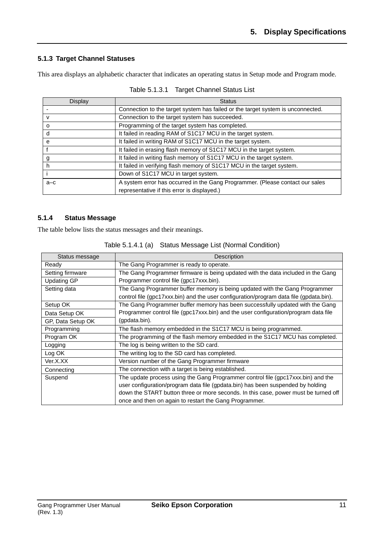### **5.1.3 Target Channel Statuses**

This area displays an alphabetic character that indicates an operating status in Setup mode and Program mode.

| Display  | <b>Status</b>                                                                   |
|----------|---------------------------------------------------------------------------------|
|          | Connection to the target system has failed or the target system is unconnected. |
| v        | Connection to the target system has succeeded.                                  |
| $\Omega$ | Programming of the target system has completed.                                 |
| d        | It failed in reading RAM of S1C17 MCU in the target system.                     |
| e        | It failed in writing RAM of S1C17 MCU in the target system.                     |
|          | It failed in erasing flash memory of S1C17 MCU in the target system.            |
| g        | It failed in writing flash memory of S1C17 MCU in the target system.            |
| h        | It failed in verifying flash memory of S1C17 MCU in the target system.          |
|          | Down of S1C17 MCU in target system.                                             |
| $a-c$    | A system error has occurred in the Gang Programmer. (Please contact our sales   |
|          | representative if this error is displayed.)                                     |

| Table 5.1.3.1 Target Channel Status List |
|------------------------------------------|
|                                          |

#### **5.1.4 Status Message**

The table below lists the status messages and their meanings.

| Status message     | Description                                                                            |  |  |
|--------------------|----------------------------------------------------------------------------------------|--|--|
| Ready              | The Gang Programmer is ready to operate.                                               |  |  |
| Setting firmware   | The Gang Programmer firmware is being updated with the data included in the Gang       |  |  |
| <b>Updating GP</b> | Programmer control file (gpc17xxx.bin).                                                |  |  |
| Setting data       | The Gang Programmer buffer memory is being updated with the Gang Programmer            |  |  |
|                    | control file (gpc17xxx.bin) and the user configuration/program data file (gpdata.bin). |  |  |
| Setup OK           | The Gang Programmer buffer memory has been successfully updated with the Gang          |  |  |
| Data Setup OK      | Programmer control file (gpc17xxx.bin) and the user configuration/program data file    |  |  |
| GP, Data Setup OK  | (gpdata.bin).                                                                          |  |  |
| Programming        | The flash memory embedded in the S1C17 MCU is being programmed.                        |  |  |
| Program OK         | The programming of the flash memory embedded in the S1C17 MCU has completed.           |  |  |
| Logging            | The log is being written to the SD card.                                               |  |  |
| Log OK             | The writing log to the SD card has completed.                                          |  |  |
| Ver.X.XX           | Version number of the Gang Programmer firmware                                         |  |  |
| Connecting         | The connection with a target is being established.                                     |  |  |
| Suspend            | The update process using the Gang Programmer control file (gpc17xxx.bin) and the       |  |  |
|                    | user configuration/program data file (gpdata.bin) has been suspended by holding        |  |  |
|                    | down the START button three or more seconds. In this case, power must be turned off    |  |  |
|                    | once and then on again to restart the Gang Programmer.                                 |  |  |

Table 5.1.4.1 (a) Status Message List (Normal Condition)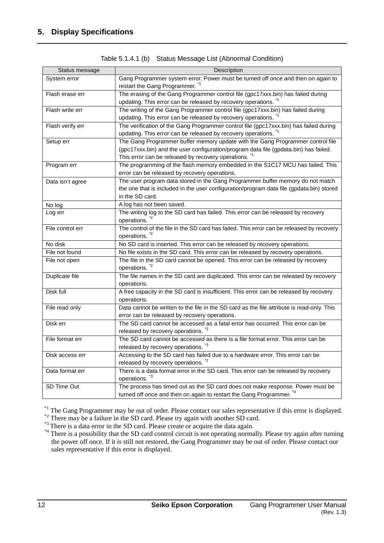| Status message   | Description                                                                                |
|------------------|--------------------------------------------------------------------------------------------|
| System error     | Gang Programmer system error. Power must be turned off once and then on again to           |
|                  | restart the Gang Programmer. <sup>*1</sup>                                                 |
| Flash erase err  | The erasing of the Gang Programmer control file (gpc17xxx.bin) has failed during           |
|                  |                                                                                            |
| Flash write err  | updating. This error can be released by recovery operations. <sup>*1</sup>                 |
|                  | The writing of the Gang Programmer control file (gpc17xxx.bin) has failed during           |
|                  | updating. This error can be released by recovery operations.                               |
| Flash verify err | The verification of the Gang Programmer control file (gpc17xxx.bin) has failed during      |
|                  | updating. This error can be released by recovery operations. *1                            |
| Setup err        | The Gang Programmer buffer memory update with the Gang Programmer control file             |
|                  | (gpc17xxx.bin) and the user configuration/program data file (gpdata.bin) has failed.       |
|                  | This error can be released by recovery operations. <sup>1</sup>                            |
| Program err      | The programming of the flash memory embedded in the S1C17 MCU has failed. This             |
|                  | error can be released by recovery operations.                                              |
| Data isn't agree | The user program data stored in the Gang Programmer buffer memory do not match             |
|                  | the one that is included in the user configuration/program data file (gpdata.bin) stored   |
|                  | in the SD card.                                                                            |
| No log           | A log has not been saved.                                                                  |
| Log err          | The writing log to the SD card has failed. This error can be released by recovery          |
|                  | operations. <sup>2</sup>                                                                   |
| File control err | The control of the file in the SD card has failed. This error can be released by recovery  |
|                  | operations. <sup>*2</sup>                                                                  |
| No disk          | No SD card is inserted. This error can be released by recovery operations.                 |
| File not found   | No file exists in the SD card. This error can be released by recovery operations.          |
| File not open    | The file in the SD card cannot be opened. This error can be released by recovery           |
|                  | operations. <sup>*2</sup>                                                                  |
| Duplicate file   | The file names in the SD card are duplicated. This error can be released by recovery       |
|                  | operations.                                                                                |
| Disk full        | A free capacity in the SD card is insufficient. This error can be released by recovery     |
|                  | operations.                                                                                |
|                  |                                                                                            |
| File read only   | Data cannot be written to the file in the SD card as the file attribute is read-only. This |
|                  | error can be released by recovery operations.                                              |
| Disk err         | The SD card cannot be accessed as a fatal error has occurred. This error can be            |
|                  | released by recovery operations. <sup>*2</sup>                                             |
| File format err  | The SD card cannot be accessed as there is a file format error. This error can be          |
|                  | released by recovery operations. *3                                                        |
| Disk access err  | Accessing to the SD card has failed due to a hardware error. This error can be             |
|                  | released by recovery operations. <sup>*2</sup>                                             |
| Data format err  | There is a data format error in the SD card. This error can be released by recovery        |
|                  | operations. <sup>*3</sup>                                                                  |
| SD Time Out      | The process has timed out as the SD card does not make response. Power must be             |
|                  | turned off once and then on again to restart the Gang Programmer. *4                       |

Table 5.1.4.1 (b) Status Message List (Abnormal Condition)

<sup>\*1</sup> The Gang Programmer may be out of order. Please contact our sales representative if this error is displayed.<br><sup>\*2</sup> There may be a failure in the SD card. Please try again with another SD card.<br><sup>\*3</sup> There is a data err

the power off once. If it is still not restored, the Gang Programmer may be out of order. Please contact our sales representative if this error is displayed.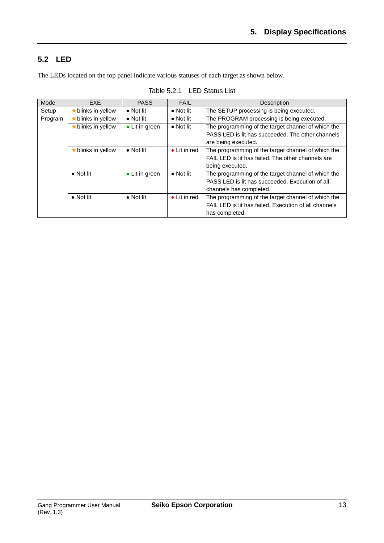## **5.2 LED**

The LEDs located on the top panel indicate various statuses of each target as shown below.

| Mode    | <b>EXF</b>               | <b>PASS</b>       | <b>FAIL</b>          | Description                                           |
|---------|--------------------------|-------------------|----------------------|-------------------------------------------------------|
| Setup   | $\star$ blinks in yellow | $\bullet$ Not lit | $\bullet$ Not lit    | The SETUP processing is being executed.               |
| Program | blinks in yellow         | $\bullet$ Not lit | $\bullet$ Not lit    | The PROGRAM processing is being executed.             |
|         | blinks in yellow         | • Lit in green    | $\bullet$ Not lit    | The programming of the target channel of which the    |
|         |                          |                   |                      | PASS LED is lit has succeeded. The other channels     |
|         |                          |                   |                      | are being executed.                                   |
|         | $\star$ blinks in yellow | $\bullet$ Not lit | $\bullet$ Lit in red | The programming of the target channel of which the    |
|         |                          |                   |                      | FAIL LED is lit has failed. The other channels are    |
|         |                          |                   |                      | being executed.                                       |
|         | $\bullet$ Not lit        | • Lit in green    | $\bullet$ Not lit    | The programming of the target channel of which the    |
|         |                          |                   |                      | PASS LED is lit has succeeded. Execution of all       |
|         |                          |                   |                      | channels has completed.                               |
|         | $\bullet$ Not lit        | $\bullet$ Not lit | $\bullet$ Lit in red | The programming of the target channel of which the    |
|         |                          |                   |                      | FAIL LED is lit has failed. Execution of all channels |
|         |                          |                   |                      | has completed.                                        |

Table 5.2.1 LED Status List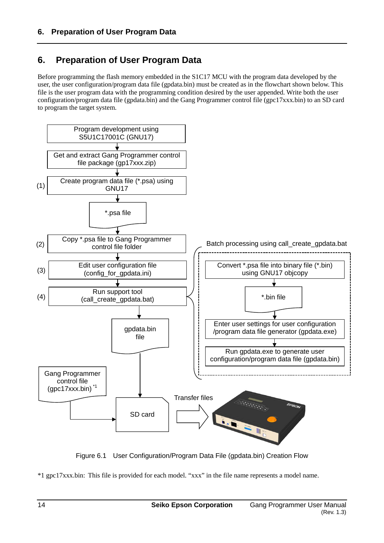# **6. Preparation of User Program Data**

Before programming the flash memory embedded in the S1C17 MCU with the program data developed by the user, the user configuration/program data file (gpdata.bin) must be created as in the flowchart shown below. This file is the user program data with the programming condition desired by the user appended. Write both the user configuration/program data file (gpdata.bin) and the Gang Programmer control file (gpc17xxx.bin) to an SD card to program the target system.



Figure 6.1 User Configuration/Program Data File (gpdata.bin) Creation Flow

\*1 gpc17xxx.bin: This file is provided for each model. "xxx" in the file name represents a model name.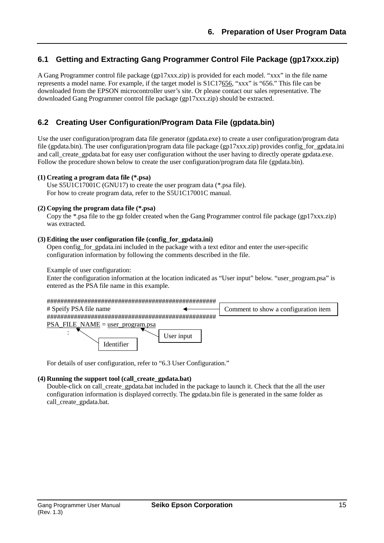## **6.1 Getting and Extracting Gang Programmer Control File Package (gp17xxx.zip)**

A Gang Programmer control file package (gp17xxx.zip) is provided for each model. "xxx" in the file name represents a model name. For example, if the target model is S1C17656, "xxx" is "656." This file can be downloaded from the EPSON microcontroller user's site. Or please contact our sales representative. The downloaded Gang Programmer control file package (gp17xxx.zip) should be extracted.

## **6.2 Creating User Configuration/Program Data File (gpdata.bin)**

Use the user configuration/program data file generator (gpdata.exe) to create a user configuration/program data file (gpdata.bin). The user configuration/program data file package (gp17xxx.zip) provides config\_for\_gpdata.ini and call\_create\_gpdata.bat for easy user configuration without the user having to directly operate gpdata.exe. Follow the procedure shown below to create the user configuration/program data file (gpdata.bin).

#### **(1) Creating a program data file (\*.psa)**

Use S5U1C17001C (GNU17) to create the user program data (\*.psa file). For how to create program data, refer to the S5U1C17001C manual.

#### **(2) Copying the program data file (\*.psa)**

Copy the \*.psa file to the gp folder created when the Gang Programmer control file package (gp17xxx.zip) was extracted.

#### **(3) Editing the user configuration file (config\_for\_gpdata.ini)**

Open config\_for\_gpdata.ini included in the package with a text editor and enter the user-specific configuration information by following the comments described in the file.

Example of user configuration:

Enter the configuration information at the location indicated as "User input" below. "user\_program.psa" is entered as the PSA file name in this example.

| # Speify PSA file name                    |            | Comment to show a configuration item |
|-------------------------------------------|------------|--------------------------------------|
|                                           |            |                                      |
| <b>PSA FILE NAME</b> = $user program.psa$ |            |                                      |
| dentifier ،                               | User input |                                      |

For details of user configuration, refer to "6.3 User Configuration."

#### **(4) Running the support tool (call\_create\_gpdata.bat)**

Double-click on call create gpdata.bat included in the package to launch it. Check that the all the user configuration information is displayed correctly. The gpdata.bin file is generated in the same folder as call create gpdata.bat.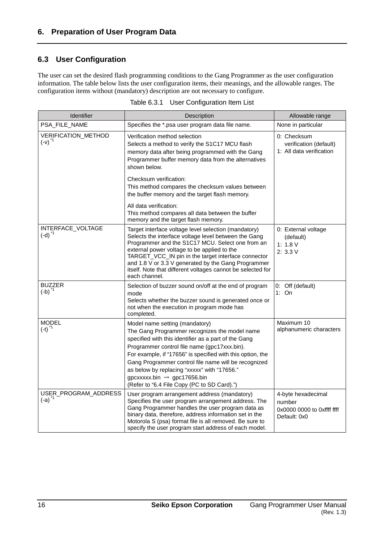## **6.3 User Configuration**

The user can set the desired flash programming conditions to the Gang Programmer as the user configuration information. The table below lists the user configuration items, their meanings, and the allowable ranges. The configuration items without (mandatory) description are not necessary to configure.

| Identifier                                  | Description                                                                                                                                                                                                                                                                                                                                                                                                                                               | Allowable range                                                            |
|---------------------------------------------|-----------------------------------------------------------------------------------------------------------------------------------------------------------------------------------------------------------------------------------------------------------------------------------------------------------------------------------------------------------------------------------------------------------------------------------------------------------|----------------------------------------------------------------------------|
| PSA_FILE_NAME                               | Specifies the *.psa user program data file name.                                                                                                                                                                                                                                                                                                                                                                                                          | None in particular                                                         |
| VERIFICATION_METHOD<br>$(-v)$ <sup>*1</sup> | Verification method selection<br>Selects a method to verify the S1C17 MCU flash<br>memory data after being programmed with the Gang<br>Programmer buffer memory data from the alternatives<br>shown below.                                                                                                                                                                                                                                                | 0: Checksum<br>verification (default)<br>1: All data verification          |
|                                             | Checksum verification:<br>This method compares the checksum values between<br>the buffer memory and the target flash memory.                                                                                                                                                                                                                                                                                                                              |                                                                            |
|                                             | All data verification:<br>This method compares all data between the buffer<br>memory and the target flash memory.                                                                                                                                                                                                                                                                                                                                         |                                                                            |
| INTERFACE_VOLTAGE<br>$(-d)^{-1}$            | Target interface voltage level selection (mandatory)<br>Selects the interface voltage level between the Gang<br>Programmer and the S1C17 MCU. Select one from an<br>external power voltage to be applied to the<br>TARGET_VCC_IN pin in the target interface connector<br>and 1.8 V or 3.3 V generated by the Gang Programmer<br>itself. Note that different voltages cannot be selected for<br>each channel.                                             | 0: External voltage<br>(default)<br>1: 1.8 V<br>2: 3.3 V                   |
| <b>BUZZER</b><br>$(-b)^{1}$                 | Selection of buzzer sound on/off at the end of program<br>mode<br>Selects whether the buzzer sound is generated once or<br>not when the execution in program mode has<br>completed.                                                                                                                                                                                                                                                                       | 0: Off (default)<br>1: $On$                                                |
| <b>MODEL</b><br>$(-t)$ <sup>*1</sup>        | Model name setting (mandatory)<br>The Gang Programmer recognizes the model name<br>specified with this identifier as a part of the Gang<br>Programmer control file name (gpc17xxx.bin).<br>For example, if "17656" is specified with this option, the<br>Gang Programmer control file name will be recognized<br>as below by replacing "xxxxx" with "17656."<br>$g$ pcxxxxx.bin $\rightarrow$ gpc17656.bin<br>(Refer to "6.4 File Copy (PC to SD Card).") | Maximum 10<br>alphanumeric characters                                      |
| USER_PROGRAM_ADDRESS<br>$(-a)^{1}$          | User program arrangement address (mandatory)<br>Specifies the user program arrangement address. The<br>Gang Programmer handles the user program data as<br>binary data, therefore, address information set in the<br>Motorola S (psa) format file is all removed. Be sure to<br>specify the user program start address of each model.                                                                                                                     | 4-byte hexadecimal<br>number<br>0x0000 0000 to 0xffff ffff<br>Default: 0x0 |

| Table 6.3.1<br>User Configuration Item List |  |
|---------------------------------------------|--|
|---------------------------------------------|--|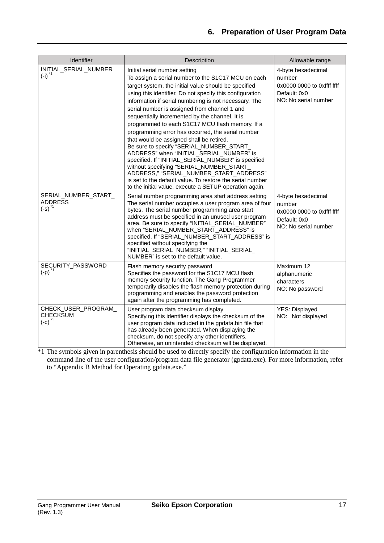| <b>Identifier</b>                                              | Description                                                                                                                                                                                                                                                                                                                                                                                                                                                                                                                                                                                                                                                                                                                                                                                                                                                                        | Allowable range                                                                                    |
|----------------------------------------------------------------|------------------------------------------------------------------------------------------------------------------------------------------------------------------------------------------------------------------------------------------------------------------------------------------------------------------------------------------------------------------------------------------------------------------------------------------------------------------------------------------------------------------------------------------------------------------------------------------------------------------------------------------------------------------------------------------------------------------------------------------------------------------------------------------------------------------------------------------------------------------------------------|----------------------------------------------------------------------------------------------------|
| INITIAL_SERIAL_NUMBER<br>$(-i)^{1}$                            | Initial serial number setting<br>To assign a serial number to the S1C17 MCU on each<br>target system, the initial value should be specified<br>using this identifier. Do not specify this configuration<br>information if serial numbering is not necessary. The<br>serial number is assigned from channel 1 and<br>sequentially incremented by the channel. It is<br>programmed to each S1C17 MCU flash memory. If a<br>programming error has occurred, the serial number<br>that would be assigned shall be retired.<br>Be sure to specify "SERIAL_NUMBER_START_<br>ADDRESS" when "INITIAL_SERIAL_NUMBER" is<br>specified. If "INITIAL_SERIAL_NUMBER" is specified<br>without specifying "SERIAL_NUMBER_START_<br>ADDRESS," "SERIAL_NUMBER_START_ADDRESS"<br>is set to the default value. To restore the serial number<br>to the initial value, execute a SETUP operation again. | 4-byte hexadecimal<br>number<br>0x0000 0000 to 0xffff ffff<br>Default: 0x0<br>NO: No serial number |
| SERIAL_NUMBER_START_<br><b>ADDRESS</b><br>$(-s)$ <sup>*1</sup> | Serial number programming area start address setting<br>The serial number occupies a user program area of four<br>bytes. The serial number programming area start<br>address must be specified in an unused user program<br>area. Be sure to specify "INITIAL_SERIAL_NUMBER"<br>when "SERIAL_NUMBER_START_ADDRESS" is<br>specified. If "SERIAL_NUMBER_START_ADDRESS" is<br>specified without specifying the<br>"INITIAL_SERIAL_NUMBER," "INITIAL_SERIAL_<br>NUMBER" is set to the default value.                                                                                                                                                                                                                                                                                                                                                                                   | 4-byte hexadecimal<br>number<br>0x0000 0000 to 0xffff ffff<br>Default: 0x0<br>NO: No serial number |
| SECURITY_PASSWORD<br>$(-p)^{1}$                                | Flash memory security password<br>Specifies the password for the S1C17 MCU flash<br>memory security function. The Gang Programmer<br>temporarily disables the flash memory protection during<br>programming and enables the password protection<br>again after the programming has completed.                                                                                                                                                                                                                                                                                                                                                                                                                                                                                                                                                                                      | Maximum 12<br>alphanumeric<br>characters<br>NO: No password                                        |
| CHECK_USER_PROGRAM_<br><b>CHECKSUM</b><br>$(-c)$ <sup>*1</sup> | User program data checksum display<br>Specifying this identifier displays the checksum of the<br>user program data included in the gpdata.bin file that<br>has already been generated. When displaying the<br>checksum, do not specify any other identifiers.<br>Otherwise, an unintended checksum will be displayed.                                                                                                                                                                                                                                                                                                                                                                                                                                                                                                                                                              | YES: Displayed<br>NO: Not displayed                                                                |

\*1 The symbols given in parenthesis should be used to directly specify the configuration information in the command line of the user configuration/program data file generator (gpdata.exe). For more information, refer to "Appendix B Method for Operating gpdata.exe."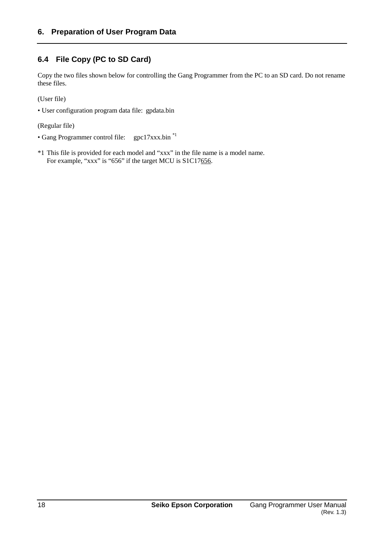## **6.4 File Copy (PC to SD Card)**

Copy the two files shown below for controlling the Gang Programmer from the PC to an SD card. Do not rename these files.

(User file)

• User configuration program data file: gpdata.bin

(Regular file)

- Gang Programmer control file: gpc17xxx.bin \*1
- \*1 This file is provided for each model and "xxx" in the file name is a model name. For example, "xxx" is "656" if the target MCU is S1C17656.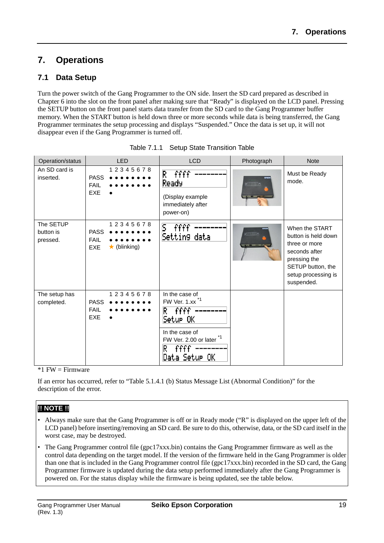# **7. Operations**

## **7.1 Data Setup**

Turn the power switch of the Gang Programmer to the ON side. Insert the SD card prepared as described in Chapter 6 into the slot on the front panel after making sure that "Ready" is displayed on the LCD panel. Pressing the SETUP button on the front panel starts data transfer from the SD card to the Gang Programmer buffer memory. When the START button is held down three or more seconds while data is being transferred, the Gang Programmer terminates the setup processing and displays "Suspended." Once the data is set up, it will not disappear even if the Gang Programmer is turned off.

| Operation/status                   | <b>LED</b>                                                                 | <b>LCD</b>                                                                                                                                                   | Photograph                      | <b>Note</b>                                                                                                                                       |
|------------------------------------|----------------------------------------------------------------------------|--------------------------------------------------------------------------------------------------------------------------------------------------------------|---------------------------------|---------------------------------------------------------------------------------------------------------------------------------------------------|
| An SD card is<br>inserted.         | 12345678<br><b>PASS</b><br><b>FAIL</b><br><b>EXE</b>                       | R<br>ffff<br>Ready<br>(Display example<br>immediately after<br>power-on)                                                                                     | 日期期間                            | Must be Ready<br>mode.                                                                                                                            |
| The SETUP<br>button is<br>pressed. | 12345678<br><b>PASS</b><br><b>FAIL</b><br>$\star$ (blinking)<br><b>EXE</b> | 5<br>ffff<br>Setting data                                                                                                                                    | <i><b>ETTTTTT</b></i> IO<br>$-$ | When the START<br>button is held down<br>three or more<br>seconds after<br>pressing the<br>SETUP button, the<br>setup processing is<br>suspended. |
| The setup has<br>completed.        | 12345678<br><b>PASS</b><br><b>FAIL</b><br><b>EXE</b>                       | In the case of<br>FW Ver. 1.xx <sup>*1</sup><br>ffff<br>R<br>Setur OK<br>In the case of<br>FW Ver. 2.00 or later <sup>*1</sup><br>ffff<br>R<br>Data Setur OK |                                 |                                                                                                                                                   |

| Table 7.1.1 Setup State Transition Table |  |
|------------------------------------------|--|
|                                          |  |

 $*1$  FW = Firmware

If an error has occurred, refer to "Table 5.1.4.1 (b) Status Message List (Abnormal Condition)" for the description of the error.

## **!! NOTE !!**

- Always make sure that the Gang Programmer is off or in Ready mode ("R" is displayed on the upper left of the LCD panel) before inserting/removing an SD card. Be sure to do this, otherwise, data, or the SD card itself in the worst case, may be destroyed.
- The Gang Programmer control file (gpc17xxx.bin) contains the Gang Programmer firmware as well as the control data depending on the target model. If the version of the firmware held in the Gang Programmer is older than one that is included in the Gang Programmer control file (gpc17xxx.bin) recorded in the SD card, the Gang Programmer firmware is updated during the data setup performed immediately after the Gang Programmer is powered on. For the status display while the firmware is being updated, see the table below.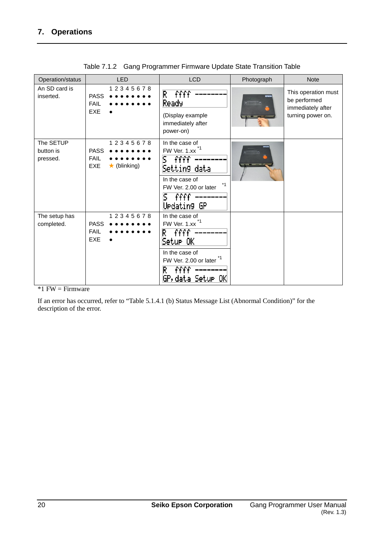| Operation/status                   | <b>LED</b>                                                                 | <b>LCD</b>                                                                                                                                                              | Photograph       | <b>Note</b>                                                                   |
|------------------------------------|----------------------------------------------------------------------------|-------------------------------------------------------------------------------------------------------------------------------------------------------------------------|------------------|-------------------------------------------------------------------------------|
| An SD card is<br>inserted.         | 12345678<br><b>PASS</b><br><b>FAIL</b><br><b>EXE</b>                       | R.<br>ffff<br>Ready<br>(Display example<br>immediately after<br>power-on)                                                                                               | <b>ETTTTT</b> ID | This operation must<br>be performed<br>immediately after<br>turning power on. |
| The SETUP<br>button is<br>pressed. | 12345678<br><b>PASS</b><br><b>FAIL</b><br>$\star$ (blinking)<br><b>EXE</b> | In the case of<br>FW Ver. 1.xx <sup>*1</sup><br>ffff<br>s<br>Settin9 data<br>In the case of<br>$*1$<br>FW Ver. 2.00 or later<br>ffff<br>S.<br>Uedatin9 GP               | <i>ENTI</i> TIPE |                                                                               |
| The setup has<br>completed.        | 12345678<br><b>PASS</b><br><b>FAIL</b><br><b>EXE</b>                       | In the case of<br>FW Ver. 1.xx<br>ffff<br>R<br> Setur OK<br>In the case of<br>$*1$<br>FW Ver. 2.00 or later<br>$\widehat{\mathsf{ffff}}$<br>R<br>GP, data Setur i<br>OΚ |                  |                                                                               |

Table 7.1.2 Gang Programmer Firmware Update State Transition Table

 $*1$  FW = Firmware

If an error has occurred, refer to "Table 5.1.4.1 (b) Status Message List (Abnormal Condition)" for the description of the error.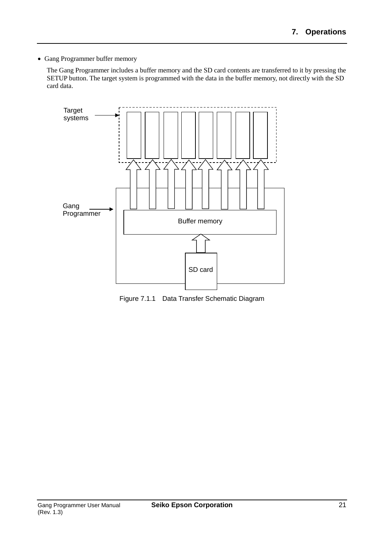• Gang Programmer buffer memory

The Gang Programmer includes a buffer memory and the SD card contents are transferred to it by pressing the SETUP button. The target system is programmed with the data in the buffer memory, not directly with the SD card data.



Figure 7.1.1 Data Transfer Schematic Diagram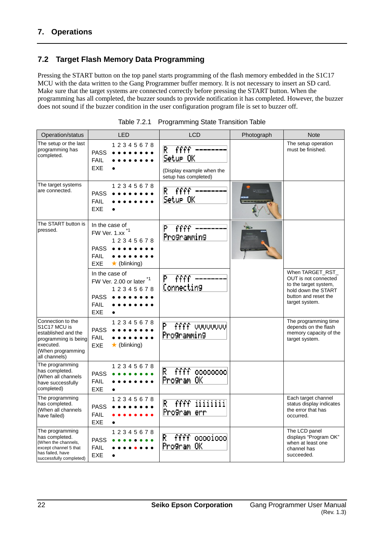## **7.2 Target Flash Memory Data Programming**

Pressing the START button on the top panel starts programming of the flash memory embedded in the S1C17 MCU with the data written to the Gang Programmer buffer memory. It is not necessary to insert an SD card. Make sure that the target systems are connected correctly before pressing the START button. When the programming has all completed, the buzzer sounds to provide notification it has completed. However, the buzzer does not sound if the buzzer condition in the user configuration program file is set to buzzer off.

| Operation/status                                                                                                                    |                                                            | LED                                                         | <b>LCD</b>                                                                 | Photograph                                                                | <b>Note</b>                                                                                                                       |
|-------------------------------------------------------------------------------------------------------------------------------------|------------------------------------------------------------|-------------------------------------------------------------|----------------------------------------------------------------------------|---------------------------------------------------------------------------|-----------------------------------------------------------------------------------------------------------------------------------|
| The setup or the last<br>programming has<br>completed.                                                                              | <b>PASS</b><br><b>FAIL</b><br><b>EXE</b>                   | 12345678                                                    | ffff<br>R<br>Setur OK<br>(Display example when the<br>setup has completed) |                                                                           | The setup operation<br>must be finished.                                                                                          |
| The target systems<br>are connected.                                                                                                | <b>PASS</b><br><b>FAIL</b><br><b>EXE</b>                   | 12345678                                                    | ffff<br>R<br>Setur OK                                                      | $=$ $\frac{1}{2}$ $\frac{1}{2}$ $\frac{1}{2}$ $\frac{1}{2}$ $\frac{1}{2}$ |                                                                                                                                   |
| The START button is<br>pressed.                                                                                                     | In the case of<br><b>PASS</b><br><b>FAIL</b><br><b>EXE</b> | FW Ver. 1.xx <sup>1</sup><br>12345678<br>$\star$ (blinking) | efff<br>P<br>Programming                                                   | <b>HITTING</b>                                                            |                                                                                                                                   |
|                                                                                                                                     | In the case of<br><b>PASS</b><br><b>FAIL</b><br><b>EXE</b> | FW Ver. 2.00 or later *1<br>12345678                        | P<br>ffff<br>Connecting                                                    |                                                                           | When TARGET RST<br>OUT is not connected<br>to the target system,<br>hold down the START<br>button and reset the<br>target system. |
| Connection to the<br>S1C17 MCU is<br>established and the<br>programming is being<br>executed.<br>(When programming<br>all channels) | <b>PASS</b><br><b>FAIL</b><br><b>EXE</b>                   | 12345678<br>$\star$ (blinking)                              | ffff vuuvuuvu<br>P<br>Programming                                          |                                                                           | The programming time<br>depends on the flash<br>memory capacity of the<br>target system.                                          |
| The programming<br>has completed.<br>(When all channels<br>have successfully<br>completed)                                          | <b>PASS</b><br><b>FAIL</b><br><b>EXE</b>                   | 12345678                                                    | ffff ooooooooo<br>R.<br>Program OK                                         |                                                                           |                                                                                                                                   |
| The programming<br>has completed.<br>(When all channels<br>have failed)                                                             | <b>PASS</b><br><b>FAIL</b><br><b>EXE</b>                   | 1 2 3 4 5 6 7 8                                             | ffff iiiiiiii<br>R<br>Program err                                          |                                                                           | Each target channel<br>status display indicates<br>the error that has<br>occurred.                                                |
| The programming<br>has completed.<br>(When the channels,<br>except channel 5 that<br>has failed, have<br>successfully completed)    | <b>PASS</b><br><b>FAIL</b><br><b>EXE</b>                   | 12345678                                                    | R<br>ffff ooooioool<br>Program OK                                          |                                                                           | The LCD panel<br>displays "Program OK"<br>when at least one<br>channel has<br>succeeded.                                          |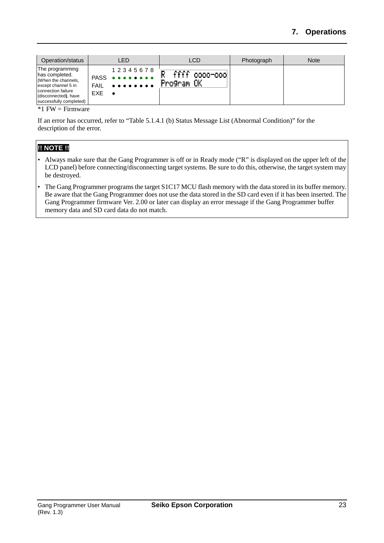| Operation/status                                                                                                                                         |                           | LED                                                                                                                                                                      |            | LCD                      | Photograph | <b>Note</b> |
|----------------------------------------------------------------------------------------------------------------------------------------------------------|---------------------------|--------------------------------------------------------------------------------------------------------------------------------------------------------------------------|------------|--------------------------|------------|-------------|
| The programming<br>has completed.<br>(When the channels,<br>except channel 5 in<br>connection failure<br>(disconnected), have<br>successfully completed) | <b>FAIL</b><br><b>EXE</b> | 1 2 3 4 5 6 7 8<br>PASS<br>$\begin{array}{cccccccccccccc} \bullet & \bullet & \bullet & \bullet & \bullet & \bullet & \bullet & \bullet & \bullet & \bullet \end{array}$ | Program OK | $\widehat{fff}$ 0000-000 |            |             |

 $*1$  FW = Firmware

If an error has occurred, refer to "Table 5.1.4.1 (b) Status Message List (Abnormal Condition)" for the description of the error.

## **!! NOTE !!**

- Always make sure that the Gang Programmer is off or in Ready mode ("R" is displayed on the upper left of the LCD panel) before connecting/disconnecting target systems. Be sure to do this, otherwise, the target system may be destroyed.
- The Gang Programmer programs the target S1C17 MCU flash memory with the data stored in its buffer memory. Be aware that the Gang Programmer does not use the data stored in the SD card even if it has been inserted. The Gang Programmer firmware Ver. 2.00 or later can display an error message if the Gang Programmer buffer memory data and SD card data do not match.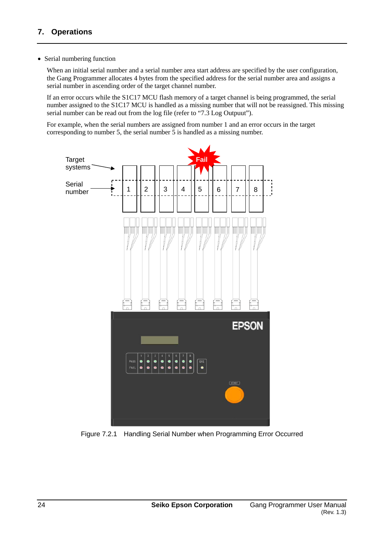#### • Serial numbering function

When an initial serial number and a serial number area start address are specified by the user configuration, the Gang Programmer allocates 4 bytes from the specified address for the serial number area and assigns a serial number in ascending order of the target channel number.

If an error occurs while the S1C17 MCU flash memory of a target channel is being programmed, the serial number assigned to the S1C17 MCU is handled as a missing number that will not be reassigned. This missing serial number can be read out from the log file (refer to "7.3 Log Outpuut").

For example, when the serial numbers are assigned from number 1 and an error occurs in the target corresponding to number 5, the serial number 5 is handled as a missing number.



Figure 7.2.1 Handling Serial Number when Programming Error Occurred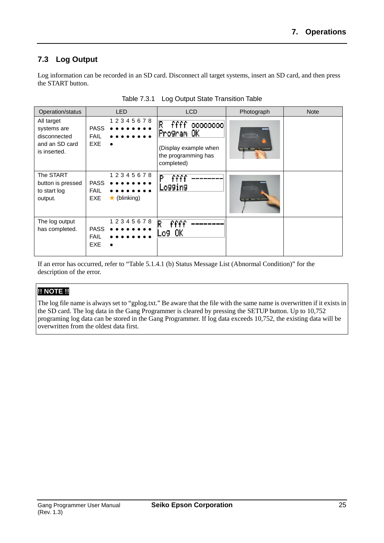## **7.3 Log Output**

Log information can be recorded in an SD card. Disconnect all target systems, insert an SD card, and then press the START button.

| Operation/status                                                            | <b>LED</b>                                                           | <b>LCD</b>                                                                                        | Photograph                                   | <b>Note</b> |
|-----------------------------------------------------------------------------|----------------------------------------------------------------------|---------------------------------------------------------------------------------------------------|----------------------------------------------|-------------|
| All target<br>systems are<br>disconnected<br>and an SD card<br>is inserted. | 12345678<br><b>PASS</b><br><b>FAIL</b><br>EXE.                       | R<br>ffff<br>00000000<br>Program OK<br>(Display example when<br>the programming has<br>completed) | EPSON<br><b>ETTTTTTD</b>                     |             |
| The START<br>button is pressed<br>to start log<br>output.                   | 12345678<br><b>PASS</b><br><b>FAIL</b><br>$\star$ (blinking)<br>EXE. | Þ<br>ffff<br>Lo99in9                                                                              | <b>ETITTE</b> IO<br><b>PERSONAL PROPERTY</b> |             |
| The log output<br>has completed.                                            | 12345678<br><b>PASS</b><br><b>FAIL</b><br><b>EXE</b>                 | R<br>ffff<br>o9 OK                                                                                |                                              |             |

Table 7.3.1 Log Output State Transition Table

If an error has occurred, refer to "Table 5.1.4.1 (b) Status Message List (Abnormal Condition)" for the description of the error.

## **!! NOTE !!**

The log file name is always set to "gplog.txt." Be aware that the file with the same name is overwritten if it exists in the SD card. The log data in the Gang Programmer is cleared by pressing the SETUP button. Up to 10,752 programing log data can be stored in the Gang Programmer. If log data exceeds 10,752, the existing data will be overwritten from the oldest data first.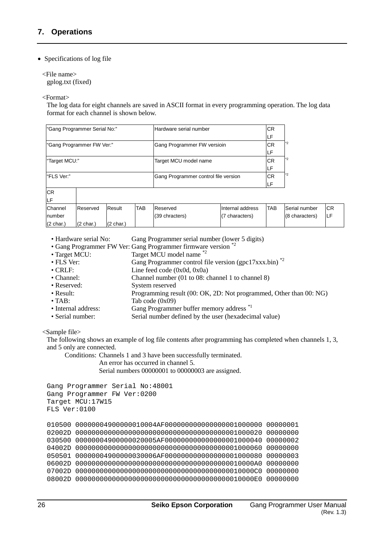#### • Specifications of log file

<File name> gplog.txt (fixed)

<Format>

The log data for eight channels are saved in ASCII format in every programming operation. The log data format for each channel is shown below.

| "Gang Programmer Serial No:" |                     |                     | Hardware serial number               |                             | CR.       |                  |            |                |
|------------------------------|---------------------|---------------------|--------------------------------------|-----------------------------|-----------|------------------|------------|----------------|
|                              |                     |                     |                                      |                             |           |                  | LF         |                |
| "Gang Programmer FW Ver:"    |                     |                     |                                      | Gang Programmer FW versioin |           |                  | *2         |                |
|                              |                     |                     |                                      |                             |           |                  | LF         |                |
| "Target MCU:"                |                     |                     | Target MCU model name                |                             | <b>CR</b> | *2               |            |                |
|                              |                     |                     |                                      |                             |           |                  | LF         |                |
| "FLS Ver:"                   |                     |                     | Gang Programmer control file version |                             | CR.       | *2               |            |                |
|                              |                     |                     |                                      |                             |           |                  | LF         |                |
| <b>CR</b>                    |                     |                     |                                      |                             |           |                  |            |                |
| LF                           |                     |                     |                                      |                             |           |                  |            |                |
| Channel                      | Reserved            | Result              | <b>TAB</b>                           | Reserved                    |           | Internal address | <b>TAB</b> | Serial number  |
| number                       |                     |                     |                                      | (39 chracters)              |           | (7 characters)   |            | (8 characters) |
| $(2 \text{ char.})$          | $(2 \text{ char.})$ | $(2 \text{ char.})$ |                                      |                             |           |                  |            |                |

- Hardware serial No: Gang Programmer serial number (lower 5 digits)
- Gang Programmer FW Ver: Gang Programmer firmware version
- Target MCU: Target MCU model name
- FLS Ver: Gang Programmer control file version (gpc17xxx.bin)<sup>\*2</sup>
- CRLF: Line feed code (0x0d, 0x0a)
- Channel: Channel number (01 to 08: channel 1 to channel 8)<br>• Reserved: System reserved
- System reserved
- Result: Programming result (00: OK, 2D: Not programmed, Other than 00: NG)
- TAB:  $\overline{V} = TAB$ :  $\overline{V} = TAB$
- Internal address: Gang Programmer buffer memory address \*1
- Serial number: Serial number defined by the user (hexadecimal value)

#### <Sample file>

The following shows an example of log file contents after programming has completed when channels 1, 3, and 5 only are connected.

Conditions: Channels 1 and 3 have been successfully terminated.

An error has occurred in channel 5.

Serial numbers 00000001 to 00000003 are assigned.

```
Gang Programmer Serial No:48001
Gang Programmer FW Ver:0200
Target MCU:17W15
FLS Ver:0100
010500 00000004900000010004AF000000000000000001000000 00000001
02002D 0000000000000000000000000000000000000001000020 00000000
030500 00000004900000020005AF000000000000000001000040 00000002
04002D 0000000000000000000000000000000000000001000060 00000000
050501 00000004900000030006AF000000000000000001000080 00000003
06002D 00000000000000000000000000000000000000010000A0 00000000
07002D 00000000000000000000000000000000000000010000C0 00000000
08002D 00000000000000000000000000000000000000010000E0 00000000
```
CR LF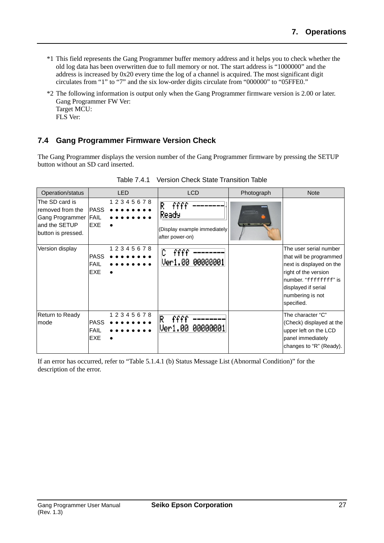- \*1 This field represents the Gang Programmer buffer memory address and it helps you to check whether the old log data has been overwritten due to full memory or not. The start address is "1000000" and the address is increased by 0x20 every time the log of a channel is acquired. The most significant digit circulates from "1" to "7" and the six low-order digits circulate from "000000" to "05FFE0."
- \*2 The following information is output only when the Gang Programmer firmware version is 2.00 or later. Gang Programmer FW Ver: Target MCU: FLS Ver:

## **7.4 Gang Programmer Firmware Version Check**

The Gang Programmer displays the version number of the Gang Programmer firmware by pressing the SETUP button without an SD card inserted.

| Operation/status                                                                                                | <b>LED</b>                                                                                                   | <b>LCD</b>                                                                                             | Photograph | <b>Note</b>                                                                                                                                                                             |
|-----------------------------------------------------------------------------------------------------------------|--------------------------------------------------------------------------------------------------------------|--------------------------------------------------------------------------------------------------------|------------|-----------------------------------------------------------------------------------------------------------------------------------------------------------------------------------------|
| The SD card is<br>removed from the<br>Gang Programmer<br>and the SETUP<br>button is pressed.<br>Version display | 12345678<br><b>PASS</b><br><b>FAIL</b><br><b>EXE</b><br>12345678<br><b>PASS</b><br><b>FAIL</b><br><b>EXE</b> | R<br>ffff<br>Ready<br>(Display example immediately<br>after power-on)<br>ffff<br>L<br>Ver1.00 00000001 | Fiintio    | The user serial number<br>that will be programmed<br>next is displayed on the<br>right of the version<br>number. "ffffffff" is<br>displayed if serial<br>numbering is not<br>specified. |
| Return to Ready<br>mode                                                                                         | 12345678<br><b>PASS</b><br><b>FAIL</b><br><b>EXE</b>                                                         | R<br>Ver1.00<br>00000001                                                                               |            | The character "C"<br>(Check) displayed at the<br>upper left on the LCD<br>panel immediately<br>changes to "R" (Ready).                                                                  |

Table 7.4.1 Version Check State Transition Table

If an error has occurred, refer to "Table 5.1.4.1 (b) Status Message List (Abnormal Condition)" for the description of the error.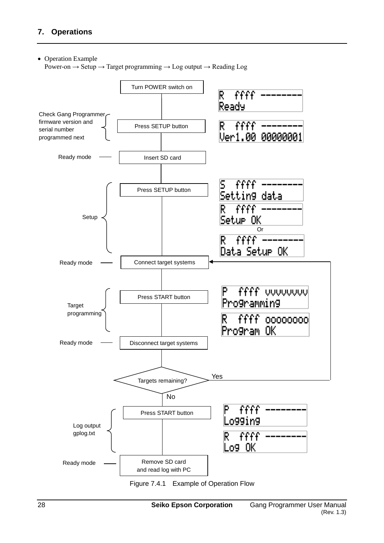#### • Operation Example

Power-on  $\rightarrow$  Setup  $\rightarrow$  Target programming  $\rightarrow$  Log output  $\rightarrow$  Reading Log



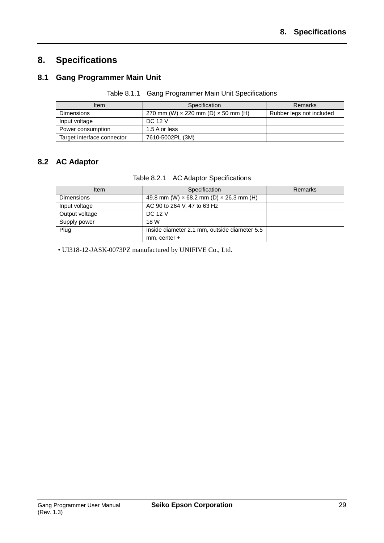# **8. Specifications**

## **8.1 Gang Programmer Main Unit**

| Table 8.1.1 Gang Programmer Main Unit Specifications |
|------------------------------------------------------|
|                                                      |

| Item                       | Specification                                     | <b>Remarks</b>           |
|----------------------------|---------------------------------------------------|--------------------------|
| <b>Dimensions</b>          | 270 mm (W) $\times$ 220 mm (D) $\times$ 50 mm (H) | Rubber legs not included |
| Input voltage              | <b>DC 12 V</b>                                    |                          |
| Power consumption          | 1.5 A or less                                     |                          |
| Target interface connector | 7610-5002PL (3M)                                  |                          |

## **8.2 AC Adaptor**

| ltem              | Specification                                         | Remarks |
|-------------------|-------------------------------------------------------|---------|
| <b>Dimensions</b> | 49.8 mm (W) $\times$ 68.2 mm (D) $\times$ 26.3 mm (H) |         |
| Input voltage     | AC 90 to 264 V, 47 to 63 Hz                           |         |
| Output voltage    | <b>DC 12 V</b>                                        |         |
| Supply power      | 18 W                                                  |         |
| Plug              | Inside diameter 2.1 mm, outside diameter 5.5          |         |
|                   | mm, center +                                          |         |

• UI318-12-JASK-0073PZ manufactured by UNIFIVE Co., Ltd.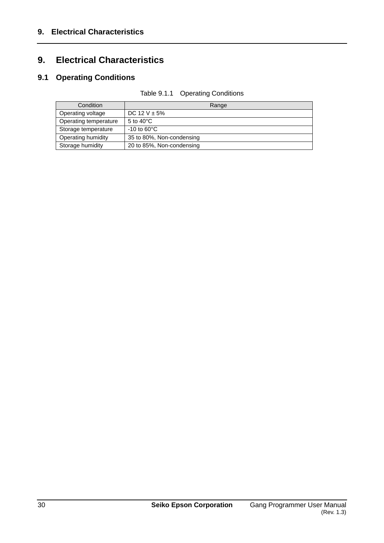# **9. Electrical Characteristics**

# **9.1 Operating Conditions**

| Condition             | Range                     |
|-----------------------|---------------------------|
| Operating voltage     | DC 12 V $\pm$ 5%          |
| Operating temperature | 5 to $40^{\circ}$ C       |
| Storage temperature   | $-10$ to 60 $^{\circ}$ C  |
| Operating humidity    | 35 to 80%, Non-condensing |
| Storage humidity      | 20 to 85%, Non-condensing |

| Table 9.1.1 Operating Conditions |  |
|----------------------------------|--|
|                                  |  |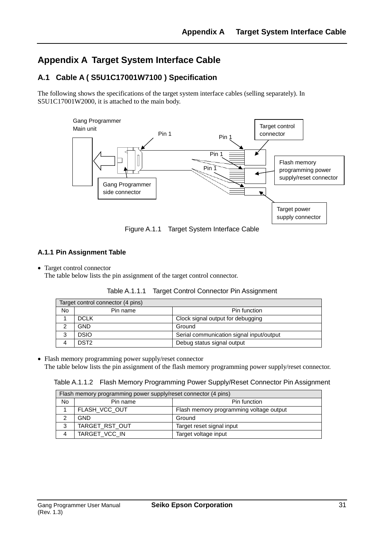# **Appendix A Target System Interface Cable**

## **A.1 Cable A ( S5U1C17001W7100 ) Specification**

The following shows the specifications of the target system interface cables (selling separately). In S5U1C17001W2000, it is attached to the main body.



Figure A.1.1 Target System Interface Cable

### **A.1.1 Pin Assignment Table**

• Target control connector

The table below lists the pin assignment of the target control connector.

|           | Target control connector (4 pins) |                                          |
|-----------|-----------------------------------|------------------------------------------|
| <b>No</b> | Pin name                          | Pin function                             |
|           | <b>DCLK</b>                       | Clock signal output for debugging        |
|           | <b>GND</b>                        | Ground                                   |
|           | <b>DSIO</b>                       | Serial communication signal input/output |
|           | DST <sub>2</sub>                  | Debug status signal output               |

Table A.1.1.1 Target Control Connector Pin Assignment

• Flash memory programming power supply/reset connector

The table below lists the pin assignment of the flash memory programming power supply/reset connector.

Table A.1.1.2 Flash Memory Programming Power Supply/Reset Connector Pin Assignment

| Flash memory programming power supply/reset connector (4 pins) |                |                                         |  |
|----------------------------------------------------------------|----------------|-----------------------------------------|--|
| <b>No</b>                                                      | Pin name       | Pin function                            |  |
|                                                                | FLASH_VCC_OUT  | Flash memory programming voltage output |  |
|                                                                | <b>GND</b>     | Ground                                  |  |
| 3                                                              | TARGET_RST_OUT | Target reset signal input               |  |
| 4                                                              | TARGET_VCC_IN  | Target voltage input                    |  |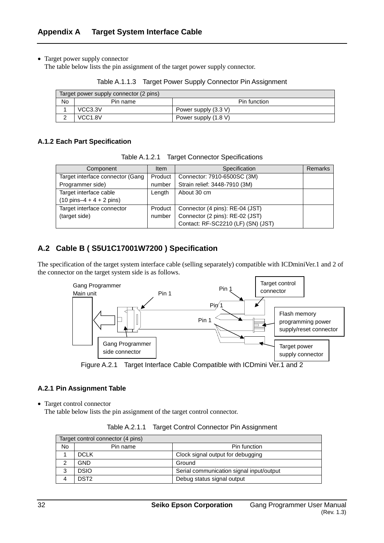• Target power supply connector

The table below lists the pin assignment of the target power supply connector.

|  |  | Table A.1.1.3 Target Power Supply Connector Pin Assignment |
|--|--|------------------------------------------------------------|
|--|--|------------------------------------------------------------|

| Target power supply connector (2 pins) |                     |                      |  |
|----------------------------------------|---------------------|----------------------|--|
| No                                     | Pin name            | Pin function         |  |
|                                        | VCC3.3V             | Power supply (3.3 V) |  |
|                                        | VCC <sub>1.8V</sub> | Power supply (1.8 V) |  |

#### **A.1.2 Each Part Specification**

|  | Table A.1.2.1 Target Connector Specifications |  |
|--|-----------------------------------------------|--|
|--|-----------------------------------------------|--|

| Component                                  | <b>Item</b> | Specification                      | Remarks |
|--------------------------------------------|-------------|------------------------------------|---------|
| Target interface connector (Gang           | Product     | Connector: 7910-6500SC (3M)        |         |
| Programmer side)                           | number      | Strain relief: 3448-7910 (3M)      |         |
| Target interface cable                     | Length      | About 30 cm                        |         |
| $(10 \text{ pins}-4 + 4 + 2 \text{ pins})$ |             |                                    |         |
| Target interface connector                 | Product     | Connector (4 pins): RE-04 (JST)    |         |
| (target side)                              | number      | Connector (2 pins): RE-02 (JST)    |         |
|                                            |             | Contact: RF-SC2210 (LF) (SN) (JST) |         |

## **A.2 Cable B ( S5U1C17001W7200 ) Specification**

The specification of the target system interface cable (selling separately) compatible with ICDminiVer.1 and 2 of the connector on the target system side is as follows.



Figure A.2.1 Target Interface Cable Compatible with ICDmini Ver.1 and 2

#### **A.2.1 Pin Assignment Table**

• Target control connector

The table below lists the pin assignment of the target control connector.

|  | Table A.2.1.1 Target Control Connector Pin Assignment |  |
|--|-------------------------------------------------------|--|
|--|-------------------------------------------------------|--|

| Target control connector (4 pins) |                  |                                          |  |
|-----------------------------------|------------------|------------------------------------------|--|
| <b>No</b>                         | Pin name         | Pin function                             |  |
|                                   | <b>DCLK</b>      | Clock signal output for debugging        |  |
|                                   | GND              | Ground                                   |  |
| 3                                 | DSIO             | Serial communication signal input/output |  |
| 4                                 | DST <sub>2</sub> | Debug status signal output               |  |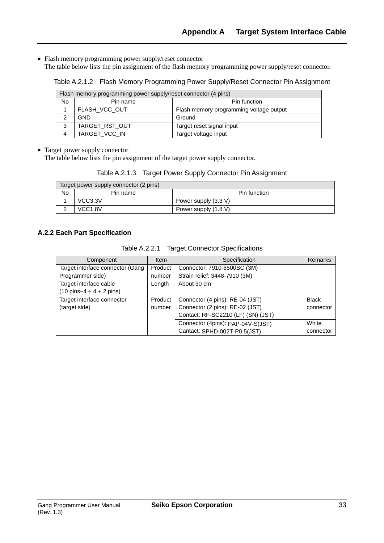• Flash memory programming power supply/reset connector

The table below lists the pin assignment of the flash memory programming power supply/reset connector.

Table A.2.1.2 Flash Memory Programming Power Supply/Reset Connector Pin Assignment

| Flash memory programming power supply/reset connector (4 pins) |                          |                                         |  |
|----------------------------------------------------------------|--------------------------|-----------------------------------------|--|
| No.                                                            | Pin function<br>Pin name |                                         |  |
|                                                                | FLASH_VCC_OUT            | Flash memory programming voltage output |  |
|                                                                | <b>GND</b>               | Ground                                  |  |
| 3                                                              | TARGET RST OUT           | Target reset signal input               |  |
|                                                                | TARGET_VCC_IN            | Target voltage input                    |  |

• Target power supply connector

The table below lists the pin assignment of the target power supply connector.

Table A.2.1.3 Target Power Supply Connector Pin Assignment

| Target power supply connector (2 pins) |                     |                      |  |
|----------------------------------------|---------------------|----------------------|--|
| No                                     | Pin name            | Pin function         |  |
|                                        | VCC3.3V             | Power supply (3.3 V) |  |
|                                        | VCC <sub>1.8V</sub> | Power supply (1.8 V) |  |

#### **A.2.2 Each Part Specification**

| Component                                  | <b>Item</b> | Specification                      | <b>Remarks</b> |
|--------------------------------------------|-------------|------------------------------------|----------------|
| Target interface connector (Gang           | Product     | Connector: 7910-6500SC (3M)        |                |
| Programmer side)                           | number      | Strain relief: 3448-7910 (3M)      |                |
| Target interface cable                     | Length      | About 30 cm                        |                |
| $(10 \text{ pins}-4 + 4 + 2 \text{ pins})$ |             |                                    |                |
| Target interface connector                 | Product     | Connector (4 pins): RE-04 (JST)    | <b>Black</b>   |
| (target side)                              | number      | Connector (2 pins): RE-02 (JST)    | connector      |
|                                            |             | Contact: RF-SC2210 (LF) (SN) (JST) |                |
|                                            |             | Connector (4pins): PAP-04V-S(JST)  | White          |
|                                            |             | Cantact: SPHD-002T-P0.5(JST)       | connector      |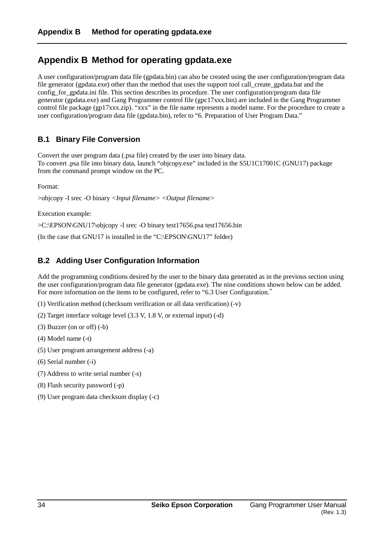## **Appendix B Method for operating gpdata.exe**

A user configuration/program data file (gpdata.bin) can also be created using the user configuration/program data file generator (gpdata.exe) other than the method that uses the support tool call\_create\_gpdata.bat and the config\_for\_gpdata.ini file. This section describes its procedure. The user configuration/program data file generator (gpdata.exe) and Gang Programmer control file (gpc17xxx.bin) are included in the Gang Programmer control file package (gp17xxx.zip). "xxx" in the file name represents a model name. For the procedure to create a user configuration/program data file (gpdata.bin), refer to "6. Preparation of User Program Data."

## **B.1 Binary File Conversion**

Convert the user program data (.psa file) created by the user into binary data. To convert .psa file into binary data, launch "objcopy.exe" included in the S5U1C17001C (GNU17) package from the command prompt window on the PC.

Format:

```
>objcopy -I srec -O binary <Input filename> <Output filename>
```
Execution example:

>C:\EPSON\GNU17\objcopy -I srec -O binary test17656.psa test17656.bin

(In the case that GNU17 is installed in the "C:\EPSON\GNU17" folder)

## **B.2 Adding User Configuration Information**

Add the programming conditions desired by the user to the binary data generated as in the previous section using the user configuration/program data file generator (gpdata.exe). The nine conditions shown below can be added. For more information on the items to be configured, refer to "6.3 User Configuration."

- (1) Verification method (checksum verification or all data verification) (-v)
- (2) Target interface voltage level (3.3 V, 1.8 V, or external input) (-d)
- (3) Buzzer (on or off) (-b)
- (4) Model name (-t)
- (5) User program arrangement address (-a)
- (6) Serial number (-i)
- (7) Address to write serial number (-s)
- (8) Flash security password (-p)
- (9) User program data checksum display (-c)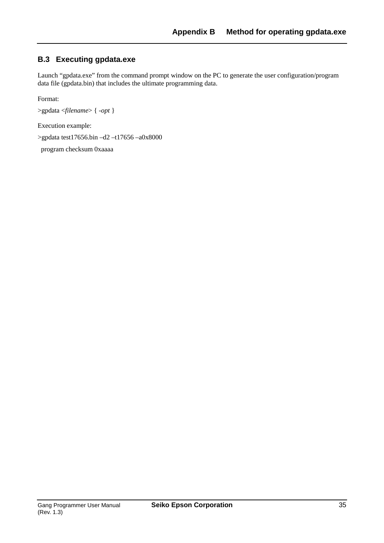## **B.3 Executing gpdata.exe**

Launch "gpdata.exe" from the command prompt window on the PC to generate the user configuration/program data file (gpdata.bin) that includes the ultimate programming data.

Format:

>gpdata <*filename*> { *-opt* }

Execution example:

>gpdata test17656.bin –d2 –t17656 –a0x8000

program checksum 0xaaaa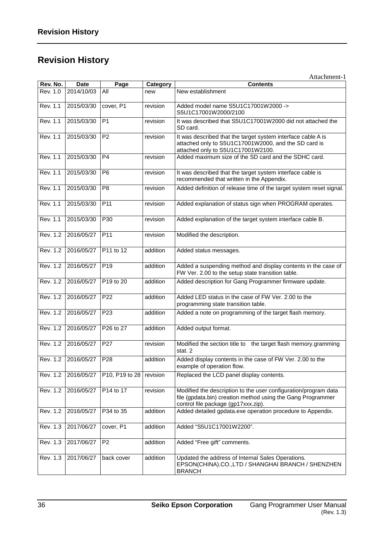# **Revision History**

|          |                         |                 |          | Attachment-1                                                                                                                                                          |
|----------|-------------------------|-----------------|----------|-----------------------------------------------------------------------------------------------------------------------------------------------------------------------|
| Rev. No. | <b>Date</b>             | Page            | Category | <b>Contents</b>                                                                                                                                                       |
| Rev. 1.0 | 2014/10/03              | All             | new      | New establishment                                                                                                                                                     |
| Rev. 1.1 | 2015/03/30              | cover, P1       | revision | Added model name S5U1C17001W2000 -><br>S5U1C17001W2000/2100                                                                                                           |
| Rev. 1.1 | 2015/03/30              | P <sub>1</sub>  | revision | It was described that S5U1C17001W2000 did not attached the<br>SD card.                                                                                                |
| Rev. 1.1 | 2015/03/30              | P <sub>2</sub>  | revision | It was described that the target system interface cable A is<br>attached only to S5U1C17001W2000, and the SD card is<br>attached only to S5U1C17001W2100.             |
| Rev. 1.1 | 2015/03/30              | P <sub>4</sub>  | revision | Added maximum size of the SD card and the SDHC card.                                                                                                                  |
| Rev. 1.1 | 2015/03/30              | P <sub>6</sub>  | revision | It was described that the target system interface cable is<br>recommended that written in the Appendix.                                                               |
| Rev. 1.1 | 2015/03/30              | P <sub>8</sub>  | revision | Added definition of release time of the target system reset signal.                                                                                                   |
| Rev. 1.1 | 2015/03/30              | P11             | revision | Added explanation of status sign when PROGRAM operates.                                                                                                               |
| Rev. 1.1 | 2015/03/30              | P30             | revision | Added explanation of the target system interface cable B.                                                                                                             |
| Rev. 1.2 | 2016/05/27              | P11             | revision | Modified the description.                                                                                                                                             |
| Rev. 1.2 | 2016/05/27              | P11 to 12       | addition | Added status messages.                                                                                                                                                |
| Rev. 1.2 | 2016/05/27              | P <sub>19</sub> | addition | Added a suspending method and display contents in the case of<br>FW Ver. 2.00 to the setup state transition table.                                                    |
| Rev. 1.2 | 2016/05/27              | P19 to 20       | addition | Added description for Gang Programmer firmware update.                                                                                                                |
| Rev. 1.2 | 2016/05/27              | P <sub>22</sub> | addition | Added LED status in the case of FW Ver. 2.00 to the<br>programming state transition table.                                                                            |
| Rev. 1.2 | 2016/05/27              | P23             | addition | Added a note on programming of the target flash memory.                                                                                                               |
| Rev. 1.2 | 2016/05/27              | P26 to 27       | addition | Added output format.                                                                                                                                                  |
| Rev. 1.2 | 2016/05/27              | P <sub>27</sub> | revision | Modified the section title to the target flash memory.gramming<br>stat. 2                                                                                             |
|          | Rev. 1.2 2016/05/27 P28 |                 | addition | Added display contents in the case of FW Ver. 2.00 to the<br>example of operation flow.                                                                               |
| Rev. 1.2 | 2016/05/27              | P10, P19 to 28  | revision | Replaced the LCD panel display contents.                                                                                                                              |
| Rev. 1.2 | 2016/05/27              | P14 to 17       | revision | Modified the description to the user configuration/program data<br>file (gpdata.bin) creation method using the Gang Programmer<br>control file package (gp17xxx.zip). |
| Rev. 1.2 | 2016/05/27              | P34 to 35       | addition | Added detailed gpdata.exe operation procedure to Appendix.                                                                                                            |
| Rev. 1.3 | 2017/06/27              | cover, P1       | addition | Added "S5U1C17001W2200".                                                                                                                                              |
| Rev. 1.3 | 2017/06/27              | P <sub>2</sub>  | addition | Added "Free gift" comments.                                                                                                                                           |
| Rev. 1.3 | 2017/06/27              | back cover      | addition | Updated the address of Internal Sales Operations.<br>EPSON(CHINA).CO.,LTD / SHANGHAI BRANCH / SHENZHEN<br><b>BRANCH</b>                                               |